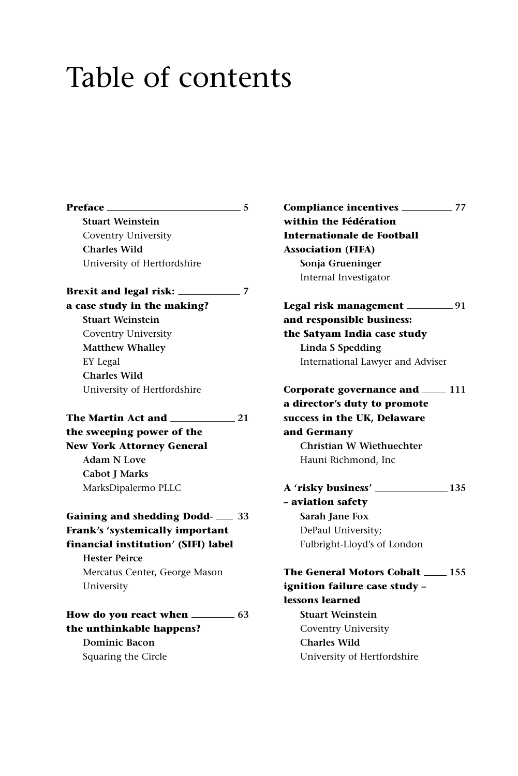## Table of contents

**Preface 5 Stuart Weinstein** Coventry University **Charles Wild** University of Hertfordshire **Brexit and legal risk: 7 a case study in the making? Stuart Weinstein** Coventry University **Matthew Whalley** EY Legal **Charles Wild** University of Hertfordshire **The Martin Act and 21 the sweeping power of the New York Attorney General Adam N Love Cabot J Marks** MarksDipalermo PLLC **Gaining and shedding Dodd- 33 Frank's 'systemically important financial institution' (SIFI) label Hester Peirce** Mercatus Center, George Mason University **How do you react when 63 the unthinkable happens? Dominic Bacon** Squaring the Circle

**Compliance incentives 77 within the Fédération Internationale de Football Association (FIFA) Sonja Grueninger** Internal Investigator **Legal risk management 91 and responsible business: the Satyam India case study Linda S Spedding** International Lawyer and Adviser **Corporate governance and 111 a director's duty to promote success in the UK, Delaware and Germany Christian W Wiethuechter** Hauni Richmond, Inc **A 'risky business' 135 – aviation safety Sarah Jane Fox** DePaul University; Fulbright-Lloyd's of London **The General Motors Cobalt 155 ignition failure case study – lessons learned Stuart Weinstein** Coventry University **Charles Wild** University of Hertfordshire